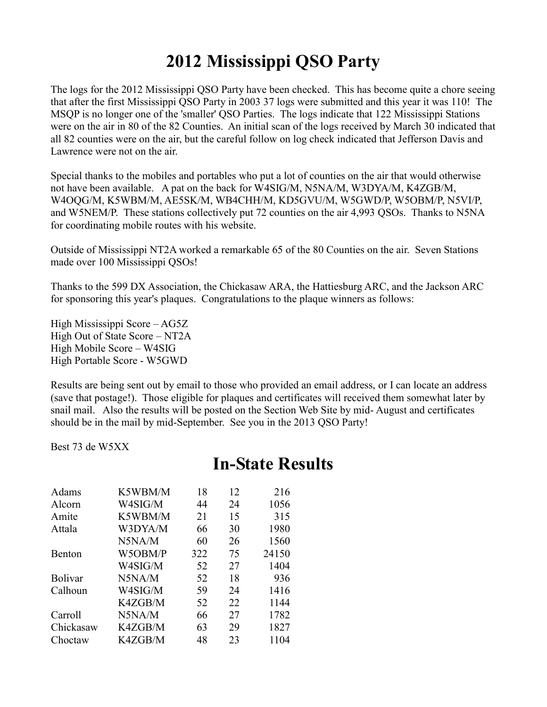## **2012 Mississippi QSO Party**

The logs for the 2012 Mississippi QSO Party have been checked. This has become quite a chore seeing that after the first Mississippi QSO Party in 2003 37 logs were submitted and this year it was 110! The MSQP is no longer one of the 'smaller' QSO Parties. The logs indicate that 122 Mississippi Stations were on the air in 80 of the 82 Counties. An initial scan of the logs received by March 30 indicated that all 82 counties were on the air, but the careful follow on log check indicated that Jefferson Davis and Lawrence were not on the air.

Special thanks to the mobiles and portables who put a lot of counties on the air that would otherwise not have been available. A pat on the back for W4SIG/M, N5NA/M, W3DYA/M, K4ZGB/M, W4OQG/M, K5WBM/M, AE5SK/M, WB4CHH/M, KD5GVU/M, W5GWD/P, W5OBM/P, N5VI/P, and W5NEM/P. These stations collectively put 72 counties on the air 4,993 QSOs. Thanks to N5NA for coordinating mobile routes with his website.

Outside of Mississippi NT2A worked a remarkable 65 of the 80 Counties on the air. Seven Stations made over 100 Mississippi QSOs!

Thanks to the 599 DX Association, the Chickasaw ARA, the Hattiesburg ARC, and the Jackson ARC for sponsoring this year's plaques. Congratulations to the plaque winners as follows:

High Mississippi Score – AG5Z High Out of State Score – NT2A High Mobile Score – W4SIG High Portable Score - W5GWD

Results are being sent out by email to those who provided an email address, or I can locate an address (save that postage!). Those eligible for plaques and certificates will received them somewhat later by snail mail. Also the results will be posted on the Section Web Site by mid- August and certificates should be in the mail by mid-September. See you in the 2013 QSO Party!

Best 73 de W5XX

## **In-State Results**

| Adams          | K5WBM/M | 18  | 12 | 216   |
|----------------|---------|-----|----|-------|
| Alcorn         | W4SIG/M | 44  | 24 | 1056  |
| Amite          | K5WBM/M | 21  | 15 | 315   |
| Attala         | W3DYA/M | 66  | 30 | 1980  |
|                | N5NA/M  | 60  | 26 | 1560  |
| <b>Benton</b>  | W5OBM/P | 322 | 75 | 24150 |
|                | W4SIG/M | 52  | 27 | 1404  |
| <b>Bolivar</b> | N5NA/M  | 52  | 18 | 936   |
| Calhoun        | W4SIG/M | 59  | 24 | 1416  |
|                | K4ZGB/M | 52  | 22 | 1144  |
| Carroll        | N5NA/M  | 66  | 27 | 1782  |
| Chickasaw      | K4ZGB/M | 63  | 29 | 1827  |
| Choctaw        | K4ZGB/M | 48  | 23 | 1104  |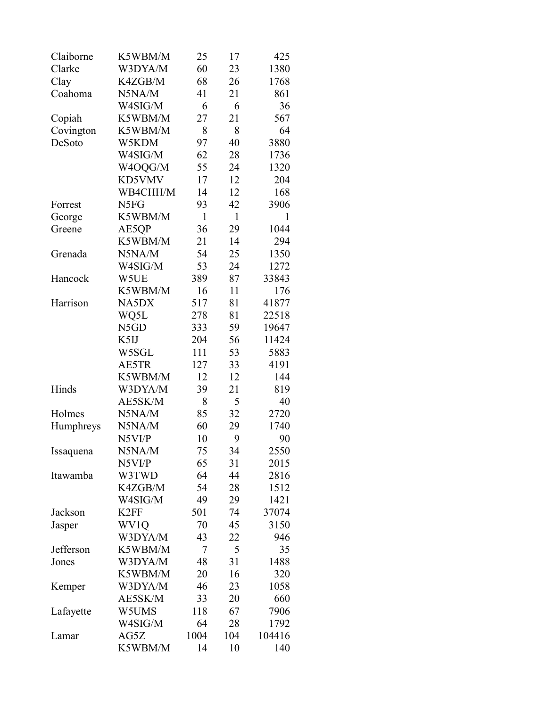| Claiborne | K5WBM/M          | 25   | 17  | 425    |
|-----------|------------------|------|-----|--------|
| Clarke    | W3DYA/M          | 60   | 23  | 1380   |
| Clay      | K4ZGB/M          | 68   | 26  | 1768   |
| Coahoma   | N5NA/M           | 41   | 21  | 861    |
|           | W4SIG/M          | 6    | 6   | 36     |
| Copiah    | K5WBM/M          | 27   | 21  | 567    |
| Covington | K5WBM/M          | 8    | 8   | 64     |
| DeSoto    | W5KDM            | 97   | 40  | 3880   |
|           | W4SIG/M          | 62   | 28  | 1736   |
|           | W4OQG/M          | 55   | 24  | 1320   |
|           | KD5VMV           | 17   | 12  | 204    |
|           | WB4CHH/M         | 14   | 12  | 168    |
| Forrest   | N5FG             | 93   | 42  | 3906   |
| George    | K5WBM/M          | 1    | 1   | 1      |
| Greene    | AE5QP            | 36   | 29  | 1044   |
|           | K5WBM/M          | 21   | 14  | 294    |
| Grenada   | N5NA/M           | 54   | 25  | 1350   |
|           | W4SIG/M          | 53   | 24  | 1272   |
| Hancock   | W5UE             | 389  | 87  | 33843  |
|           | K5WBM/M          | 16   | 11  | 176    |
| Harrison  | NA5DX            | 517  | 81  | 41877  |
|           | WQ5L             | 278  | 81  | 22518  |
|           | N5GD             | 333  | 59  | 19647  |
|           | K5IJ             | 204  | 56  | 11424  |
|           | W5SGL            | 111  | 53  | 5883   |
|           | AE5TR            | 127  | 33  | 4191   |
|           | K5WBM/M          | 12   | 12  | 144    |
| Hinds     | W3DYA/M          | 39   | 21  | 819    |
|           | AE5SK/M          | 8    | 5   | 40     |
| Holmes    | N5NA/M           | 85   | 32  | 2720   |
| Humphreys | N5NA/M           | 60   | 29  | 1740   |
|           | N5VI/P           | 10   | 9   | 90     |
| Issaquena | N5NA/M           | 75   | 34  | 2550   |
|           | N5VI/P           | 65   | 31  | 2015   |
| Itawamba  | W3TWD            | 64   | 44  | 2816   |
|           | K4ZGB/M          | 54   | 28  | 1512   |
|           | W4SIG/M          | 49   | 29  | 1421   |
| Jackson   | K <sub>2FF</sub> | 501  | 74  | 37074  |
| Jasper    | WV1Q             | 70   | 45  | 3150   |
|           | W3DYA/M          | 43   | 22  | 946    |
| Jefferson | K5WBM/M          | 7    | 5   | 35     |
| Jones     | W3DYA/M          | 48   | 31  | 1488   |
|           | K5WBM/M          | 20   | 16  | 320    |
| Kemper    | W3DYA/M          | 46   | 23  | 1058   |
|           | AE5SK/M          | 33   | 20  | 660    |
| Lafayette | W5UMS            | 118  | 67  | 7906   |
|           | W4SIG/M          | 64   | 28  | 1792   |
| Lamar     | AG5Z             | 1004 | 104 | 104416 |
|           | K5WBM/M          | 14   | 10  | 140    |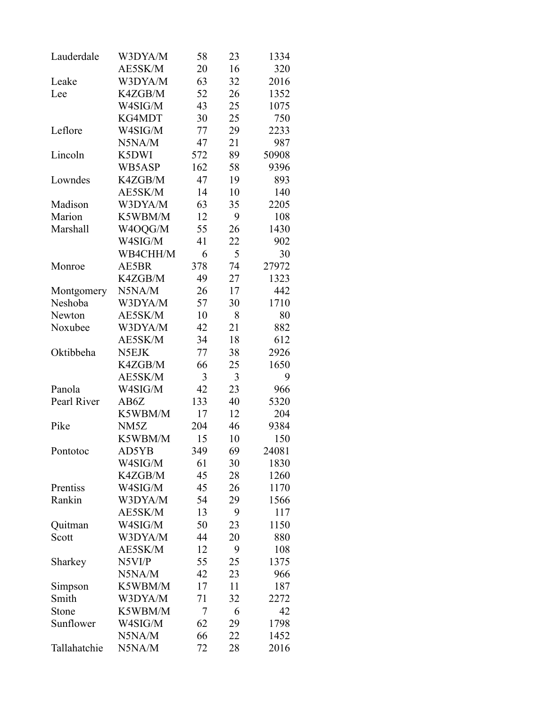| Lauderdale   | W3DYA/M           | 58       | 23       | 1334         |
|--------------|-------------------|----------|----------|--------------|
|              | AE5SK/M           | 20       | 16       | 320          |
| Leake        | W3DYA/M           | 63       | 32       | 2016         |
| Lee          | K4ZGB/M           | 52       | 26       | 1352         |
|              | W4SIG/M           | 43       | 25       | 1075         |
|              | KG4MDT            | 30       | 25       | 750          |
| Leflore      | W4SIG/M           | 77       | 29       | 2233         |
|              | N5NA/M            | 47       | 21       | 987          |
| Lincoln      | K5DWI             | 572      | 89       | 50908        |
|              | WB5ASP            | 162      | 58       | 9396         |
| Lowndes      | K4ZGB/M           | 47       | 19       | 893          |
|              | AE5SK/M           | 14       | 10       | 140          |
| Madison      | W3DYA/M           | 63       | 35       | 2205         |
| Marion       | K5WBM/M           | 12       | 9        | 108          |
| Marshall     | W4OQG/M           | 55       | 26       | 1430         |
|              | W4SIG/M           | 41       | 22       | 902          |
|              | WB4CHH/M          | 6        | 5        | 30           |
| Monroe       | AE5BR             | 378      | 74       | 27972        |
|              | K4ZGB/M           | 49       | 27       | 1323         |
| Montgomery   | N5NA/M            | 26       | 17       | 442          |
| Neshoba      | W3DYA/M           | 57       | 30       | 1710         |
| Newton       | AE5SK/M           | 10       | 8        | 80           |
| Noxubee      | W3DYA/M           | 42       | 21       | 882          |
|              | AE5SK/M           | 34       | 18       | 612          |
| Oktibbeha    | N5EJK             | 77       | 38       | 2926         |
|              | K4ZGB/M           | 66       | 25       | 1650         |
|              | AE5SK/M           | 3        | 3        | 9            |
| Panola       | W4SIG/M           | 42       | 23       | 966          |
| Pearl River  | AB6Z              | 133      | 40       | 5320         |
|              | K5WBM/M           | 17       | 12       | 204          |
| Pike         | NM <sub>5</sub> Z | 204      | 46       | 9384         |
|              | K5WBM/M           | 15       | 10       | 150          |
|              | AD5YB             | 349      | 69       |              |
| Pontotoc     | W4SIG/M           |          |          | 24081        |
|              | K4ZGB/M           | 61<br>45 | 30<br>28 | 1830<br>1260 |
| Prentiss     | W4SIG/M           | 45       | 26       | 1170         |
| Rankin       |                   |          |          |              |
|              | W3DYA/M           | 54       | 29       | 1566         |
|              | AE5SK/M           | 13       | 9        | 117          |
| Quitman      | W4SIG/M           | 50       | 23       | 1150         |
| Scott        | W3DYA/M           | 44       | 20       | 880          |
|              | AE5SK/M           | 12       | 9        | 108          |
| Sharkey      | N5VI/P            | 55       | 25       | 1375         |
|              | N5NA/M            | 42       | 23       | 966          |
| Simpson      | K5WBM/M           | 17       | 11       | 187          |
| Smith        | W3DYA/M           | 71       | 32       | 2272         |
| Stone        | K5WBM/M           | 7        | 6        | 42           |
| Sunflower    | W4SIG/M           | 62       | 29       | 1798         |
|              | N5NA/M            | 66       | 22       | 1452         |
| Tallahatchie | N5NA/M            | 72       | 28       | 2016         |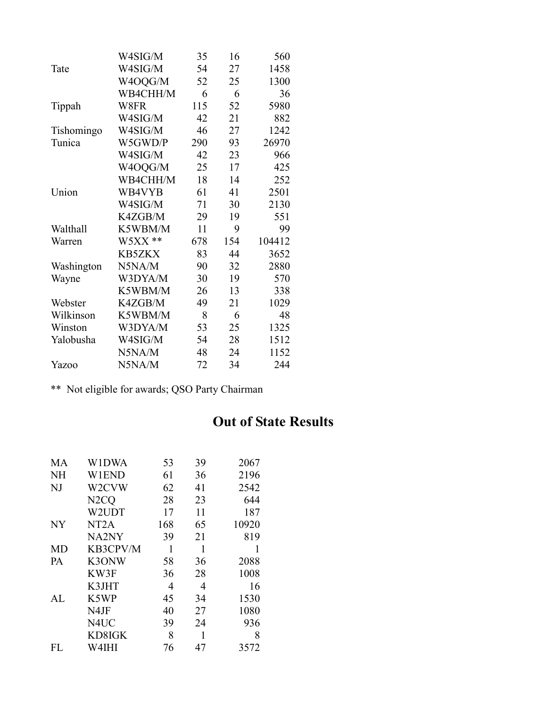|            | W4SIG/M       | 35  | 16  | 560    |
|------------|---------------|-----|-----|--------|
| Tate       | W4SIG/M       | 54  | 27  | 1458   |
|            | W4OQG/M       | 52  | 25  | 1300   |
|            | WB4CHH/M      | 6   | 6   | 36     |
| Tippah     | W8FR          | 115 | 52  | 5980   |
|            | W4SIG/M       | 42  | 21  | 882    |
| Tishomingo | W4SIG/M       | 46  | 27  | 1242   |
| Tunica     | W5GWD/P       | 290 | 93  | 26970  |
|            | W4SIG/M       | 42  | 23  | 966    |
|            | W4OQG/M       | 25  | 17  | 425    |
|            | WB4CHH/M      | 18  | 14  | 252    |
| Union      | WB4VYB        | 61  | 41  | 2501   |
|            | W4SIG/M       | 71  | 30  | 2130   |
|            | K4ZGB/M       | 29  | 19  | 551    |
| Walthall   | K5WBM/M       | 11  | 9   | 99     |
| Warren     | $W5XX**$      | 678 | 154 | 104412 |
|            | <b>KB5ZKX</b> | 83  | 44  | 3652   |
| Washington | N5NA/M        | 90  | 32  | 2880   |
| Wayne      | W3DYA/M       | 30  | 19  | 570    |
|            | K5WBM/M       | 26  | 13  | 338    |
| Webster    | K4ZGB/M       | 49  | 21  | 1029   |
| Wilkinson  | K5WBM/M       | 8   | 6   | 48     |
| Winston    | W3DYA/M       | 53  | 25  | 1325   |
| Yalobusha  | W4SIG/M       | 54  | 28  | 1512   |
|            | N5NA/M        | 48  | 24  | 1152   |
| Yazoo      | N5NA/M        | 72  | 34  | 244    |

\*\* Not eligible for awards; QSO Party Chairman

## **Out of State Results**

| MА        | W1DWA             | 53  | 39 | 2067  |
|-----------|-------------------|-----|----|-------|
| NH        | W1END             | 61  | 36 | 2196  |
| NJ        | W2CVW             | 62  | 41 | 2542  |
|           | N <sub>2</sub> CQ | 28  | 23 | 644   |
|           | W2UDT             | 17  | 11 | 187   |
| NY.       | NT <sub>2</sub> A | 168 | 65 | 10920 |
|           | NA2NY             | 39  | 21 | 819   |
| <b>MD</b> | KB3CPV/M          | 1   | 1  | 1     |
| PА        | K3ONW             | 58  | 36 | 2088  |
|           | KW3F              | 36  | 28 | 1008  |
|           | K3JHT             | 4   | 4  | 16    |
| AI.       | K5WP              | 45  | 34 | 1530  |
|           | N4JF              | 40  | 27 | 1080  |
|           | N4UC              | 39  | 24 | 936   |
|           | KD8IGK            | 8   | 1  | 8     |
| FL.       | W4IHI             | 76  | 47 | 3572  |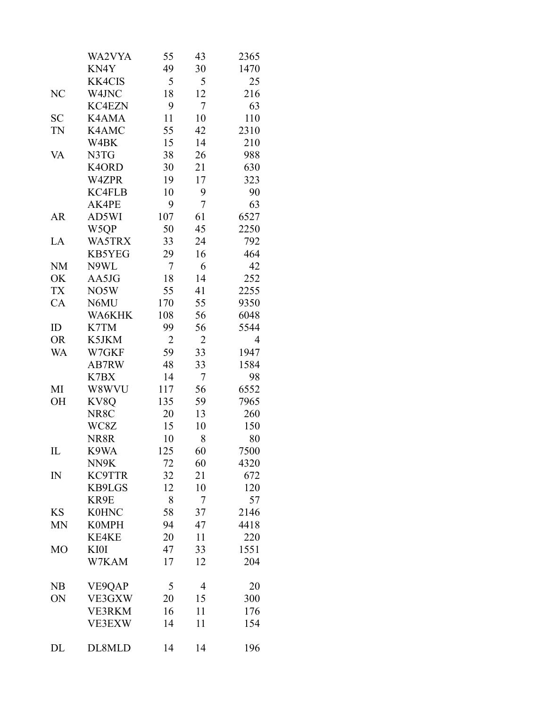|                | WA2VYA        | 55             | 43 | 2365 |
|----------------|---------------|----------------|----|------|
|                | KN4Y          | 49             | 30 | 1470 |
|                | <b>KK4CIS</b> | 5              | 5  | 25   |
| N <sub>C</sub> | W4JNC         | 18             | 12 | 216  |
|                | <b>KC4EZN</b> | 9              | 7  | 63   |
| <b>SC</b>      | K4AMA         | 11             | 10 | 110  |
| TN             | K4AMC         | 55             | 42 | 2310 |
|                | W4BK          | 15             | 14 | 210  |
| VA             | N3TG          | 38             | 26 | 988  |
|                | K4ORD         | 30             | 21 | 630  |
|                | W4ZPR         | 19             | 17 | 323  |
|                | KC4FLB        | 10             | 9  | 90   |
|                | AK4PE         | 9              | 7  | 63   |
| AR             | AD5WI         | 107            | 61 | 6527 |
|                | W5QP          | 50             | 45 | 2250 |
| LA             | WA5TRX        | 33             | 24 | 792  |
|                | KB5YEG        | 29             | 16 | 464  |
| <b>NM</b>      | N9WL          | 7              | 6  | 42   |
| OK             | AA5JG         | 18             | 14 | 252  |
| <b>TX</b>      | NO5W          | 55             | 41 | 2255 |
| CA             | N6MU          | 170            | 55 | 9350 |
|                | WA6KHK        | 108            | 56 | 6048 |
| ID             | K7TM          | 99             | 56 | 5544 |
| <b>OR</b>      | K5JKM         | $\overline{2}$ | 2  | 4    |
| WA             | W7GKF         | 59             | 33 | 1947 |
|                | AB7RW         | 48             | 33 | 1584 |
|                | K7BX          | 14             | 7  | 98   |
| MI             | W8WVU         | 117            | 56 | 6552 |
| OH             | KV8Q          | 135            | 59 | 7965 |
|                | NR8C          | 20             | 13 | 260  |
|                | WC8Z          | 15             | 10 | 150  |
|                | NR8R          | 10             | 8  | 80   |
| $_{\rm IL}$    | K9WA          | 125            | 60 | 7500 |
|                | NN9K          | 72             | 60 | 4320 |
| $\mathbb{N}$   | KC9TTR        | 32             | 21 | 672  |
|                | KB9LGS        | 12             | 10 | 120  |
|                | KR9E          | 8              | 7  | 57   |
| <b>KS</b>      | <b>K0HNC</b>  | 58             | 37 | 2146 |
| <b>MN</b>      | <b>K0MPH</b>  | 94             | 47 | 4418 |
|                | <b>KE4KE</b>  | 20             | 11 | 220  |
| M <sub>O</sub> | KI0I          | 47             | 33 | 1551 |
|                | W7KAM         | 17             | 12 | 204  |
| NB             | VE9QAP        | 5              | 4  | 20   |
| ON             | VE3GXW        | 20             | 15 | 300  |
|                | <b>VE3RKM</b> | 16             | 11 | 176  |
|                | <b>VE3EXW</b> | 14             | 11 | 154  |
| DL             | DL8MLD        | 14             | 14 | 196  |